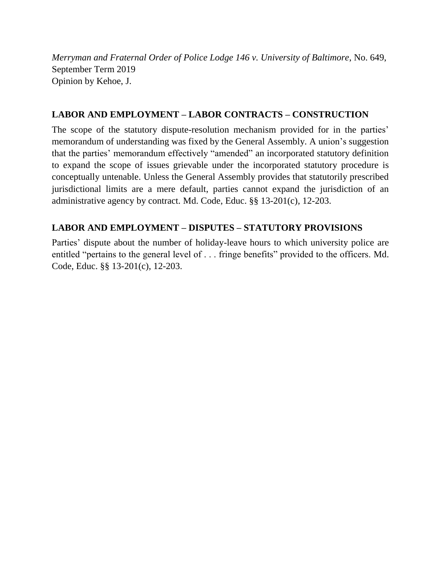*Merryman and Fraternal Order of Police Lodge 146 v. University of Baltimore*, No. 649, September Term 2019 Opinion by Kehoe, J.

# **LABOR AND EMPLOYMENT – LABOR CONTRACTS – CONSTRUCTION**

The scope of the statutory dispute-resolution mechanism provided for in the parties' memorandum of understanding was fixed by the General Assembly. A union's suggestion that the parties' memorandum effectively "amended" an incorporated statutory definition to expand the scope of issues grievable under the incorporated statutory procedure is conceptually untenable. Unless the General Assembly provides that statutorily prescribed jurisdictional limits are a mere default, parties cannot expand the jurisdiction of an administrative agency by contract. Md. Code, Educ. §§ 13-201(c), 12-203.

# **LABOR AND EMPLOYMENT – DISPUTES – STATUTORY PROVISIONS**

Parties' dispute about the number of holiday-leave hours to which university police are entitled "pertains to the general level of . . . fringe benefits" provided to the officers. Md. Code, Educ. §§ 13-201(c), 12-203.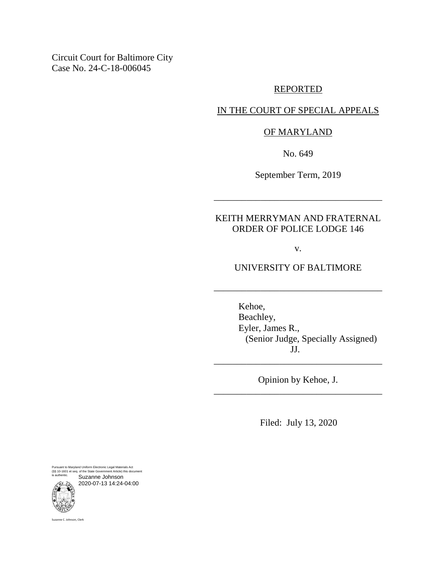Circuit Court for Baltimore City Case No. 24-C-18-006045

## REPORTED

### IN THE COURT OF SPECIAL APPEALS

### OF MARYLAND

No. 649

September Term, 2019

\_\_\_\_\_\_\_\_\_\_\_\_\_\_\_\_\_\_\_\_\_\_\_\_\_\_\_\_\_\_\_\_\_\_\_\_

# KEITH MERRYMAN AND FRATERNAL ORDER OF POLICE LODGE 146

v.

UNIVERSITY OF BALTIMORE

\_\_\_\_\_\_\_\_\_\_\_\_\_\_\_\_\_\_\_\_\_\_\_\_\_\_\_\_\_\_\_\_\_\_\_\_

Kehoe, Beachley, Eyler, James R., (Senior Judge, Specially Assigned) JJ.

Opinion by Kehoe, J. \_\_\_\_\_\_\_\_\_\_\_\_\_\_\_\_\_\_\_\_\_\_\_\_\_\_\_\_\_\_\_\_\_\_\_\_

\_\_\_\_\_\_\_\_\_\_\_\_\_\_\_\_\_\_\_\_\_\_\_\_\_\_\_\_\_\_\_\_\_\_\_\_

Filed: July 13, 2020

Pursuant to Maryland Uniform Electronic Legal Materials Act (§§ 10-1601 et seq. of the State Government Article) this document is authentic. Suzanne Johnson

2020-07-13 14:24-04:00



Suzanne C. Johnson, Clerk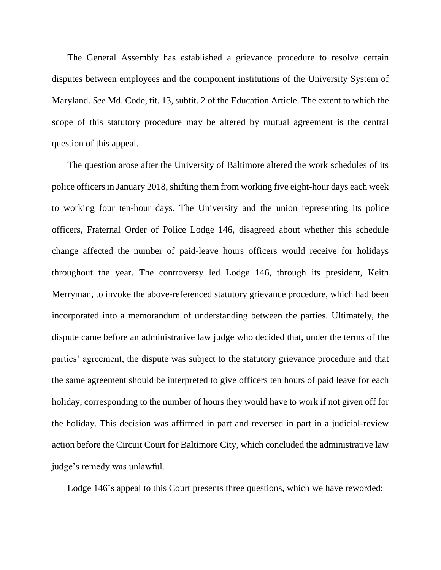The General Assembly has established a grievance procedure to resolve certain disputes between employees and the component institutions of the University System of Maryland. *See* Md. Code, tit. 13, subtit. 2 of the Education Article. The extent to which the scope of this statutory procedure may be altered by mutual agreement is the central question of this appeal.

The question arose after the University of Baltimore altered the work schedules of its police officers in January 2018, shifting them from working five eight-hour days each week to working four ten-hour days. The University and the union representing its police officers, Fraternal Order of Police Lodge 146, disagreed about whether this schedule change affected the number of paid-leave hours officers would receive for holidays throughout the year. The controversy led Lodge 146, through its president, Keith Merryman, to invoke the above-referenced statutory grievance procedure, which had been incorporated into a memorandum of understanding between the parties. Ultimately, the dispute came before an administrative law judge who decided that, under the terms of the parties' agreement, the dispute was subject to the statutory grievance procedure and that the same agreement should be interpreted to give officers ten hours of paid leave for each holiday, corresponding to the number of hours they would have to work if not given off for the holiday. This decision was affirmed in part and reversed in part in a judicial-review action before the Circuit Court for Baltimore City, which concluded the administrative law judge's remedy was unlawful.

Lodge 146's appeal to this Court presents three questions, which we have reworded: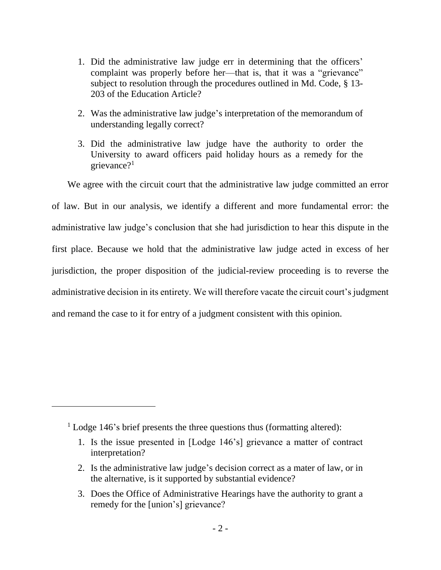- 1. Did the administrative law judge err in determining that the officers' complaint was properly before her—that is, that it was a "grievance" subject to resolution through the procedures outlined in Md. Code, § 13- 203 of the Education Article?
- 2. Was the administrative law judge's interpretation of the memorandum of understanding legally correct?
- 3. Did the administrative law judge have the authority to order the University to award officers paid holiday hours as a remedy for the grievance?<sup>1</sup>

We agree with the circuit court that the administrative law judge committed an error of law. But in our analysis, we identify a different and more fundamental error: the administrative law judge's conclusion that she had jurisdiction to hear this dispute in the first place. Because we hold that the administrative law judge acted in excess of her jurisdiction, the proper disposition of the judicial-review proceeding is to reverse the administrative decision in its entirety. We will therefore vacate the circuit court's judgment and remand the case to it for entry of a judgment consistent with this opinion.

 $\overline{a}$ 

<sup>&</sup>lt;sup>1</sup> Lodge 146's brief presents the three questions thus (formatting altered):

<sup>1.</sup> Is the issue presented in [Lodge 146's] grievance a matter of contract interpretation?

<sup>2.</sup> Is the administrative law judge's decision correct as a mater of law, or in the alternative, is it supported by substantial evidence?

<sup>3.</sup> Does the Office of Administrative Hearings have the authority to grant a remedy for the [union's] grievance?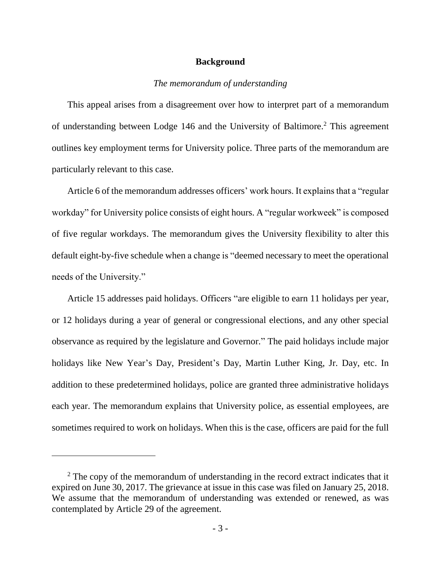#### **Background**

### *The memorandum of understanding*

This appeal arises from a disagreement over how to interpret part of a memorandum of understanding between Lodge 146 and the University of Baltimore. <sup>2</sup> This agreement outlines key employment terms for University police. Three parts of the memorandum are particularly relevant to this case.

Article 6 of the memorandum addresses officers' work hours. It explains that a "regular workday" for University police consists of eight hours. A "regular workweek" is composed of five regular workdays. The memorandum gives the University flexibility to alter this default eight-by-five schedule when a change is "deemed necessary to meet the operational needs of the University."

Article 15 addresses paid holidays. Officers "are eligible to earn 11 holidays per year, or 12 holidays during a year of general or congressional elections, and any other special observance as required by the legislature and Governor." The paid holidays include major holidays like New Year's Day, President's Day, Martin Luther King, Jr. Day, etc. In addition to these predetermined holidays, police are granted three administrative holidays each year. The memorandum explains that University police, as essential employees, are sometimes required to work on holidays. When this is the case, officers are paid for the full

<sup>&</sup>lt;sup>2</sup> The copy of the memorandum of understanding in the record extract indicates that it expired on June 30, 2017. The grievance at issue in this case was filed on January 25, 2018. We assume that the memorandum of understanding was extended or renewed, as was contemplated by Article 29 of the agreement.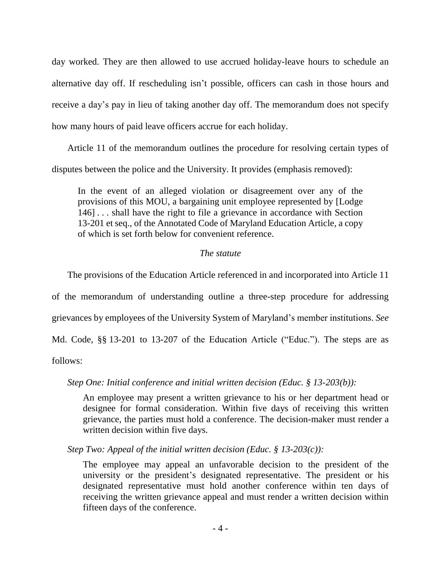day worked. They are then allowed to use accrued holiday-leave hours to schedule an alternative day off. If rescheduling isn't possible, officers can cash in those hours and receive a day's pay in lieu of taking another day off. The memorandum does not specify how many hours of paid leave officers accrue for each holiday.

Article 11 of the memorandum outlines the procedure for resolving certain types of disputes between the police and the University. It provides (emphasis removed):

In the event of an alleged violation or disagreement over any of the provisions of this MOU, a bargaining unit employee represented by [Lodge 146] . . . shall have the right to file a grievance in accordance with Section 13-201 et seq., of the Annotated Code of Maryland Education Article, a copy of which is set forth below for convenient reference.

## *The statute*

The provisions of the Education Article referenced in and incorporated into Article 11

of the memorandum of understanding outline a three-step procedure for addressing grievances by employees of the University System of Maryland's member institutions. *See* Md. Code, §§ 13-201 to 13-207 of the Education Article ("Educ."). The steps are as follows:

*Step One: Initial conference and initial written decision (Educ. § 13-203(b)):*

An employee may present a written grievance to his or her department head or designee for formal consideration. Within five days of receiving this written grievance, the parties must hold a conference. The decision-maker must render a written decision within five days.

*Step Two: Appeal of the initial written decision (Educ. § 13-203(c)):*

The employee may appeal an unfavorable decision to the president of the university or the president's designated representative. The president or his designated representative must hold another conference within ten days of receiving the written grievance appeal and must render a written decision within fifteen days of the conference.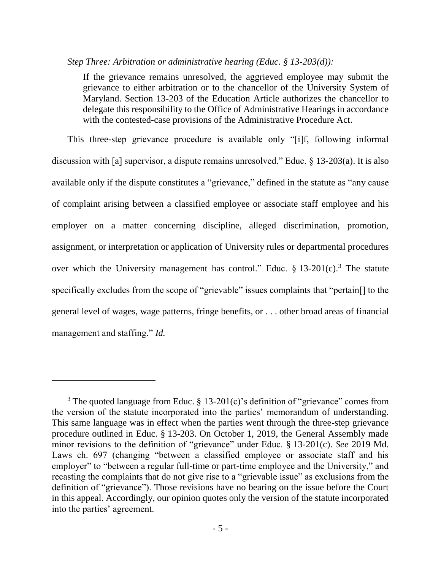#### *Step Three: Arbitration or administrative hearing (Educ. § 13-203(d)):*

If the grievance remains unresolved, the aggrieved employee may submit the grievance to either arbitration or to the chancellor of the University System of Maryland. Section 13-203 of the Education Article authorizes the chancellor to delegate this responsibility to the Office of Administrative Hearings in accordance with the contested-case provisions of the Administrative Procedure Act.

This three-step grievance procedure is available only "[i]f, following informal discussion with [a] supervisor, a dispute remains unresolved." Educ. § 13-203(a). It is also available only if the dispute constitutes a "grievance," defined in the statute as "any cause of complaint arising between a classified employee or associate staff employee and his employer on a matter concerning discipline, alleged discrimination, promotion, assignment, or interpretation or application of University rules or departmental procedures over which the University management has control." Educ.  $\S 13{\text -}201(c)$ .<sup>3</sup> The statute specifically excludes from the scope of "grievable" issues complaints that "pertain[] to the general level of wages, wage patterns, fringe benefits, or . . . other broad areas of financial management and staffing." *Id.*

<sup>&</sup>lt;sup>3</sup> The quoted language from Educ. § 13-201(c)'s definition of "grievance" comes from the version of the statute incorporated into the parties' memorandum of understanding. This same language was in effect when the parties went through the three-step grievance procedure outlined in Educ. § 13-203. On October 1, 2019, the General Assembly made minor revisions to the definition of "grievance" under Educ. § 13-201(c). *See* 2019 Md. Laws ch. 697 (changing "between a classified employee or associate staff and his employer" to "between a regular full-time or part-time employee and the University," and recasting the complaints that do not give rise to a "grievable issue" as exclusions from the definition of "grievance"). Those revisions have no bearing on the issue before the Court in this appeal. Accordingly, our opinion quotes only the version of the statute incorporated into the parties' agreement.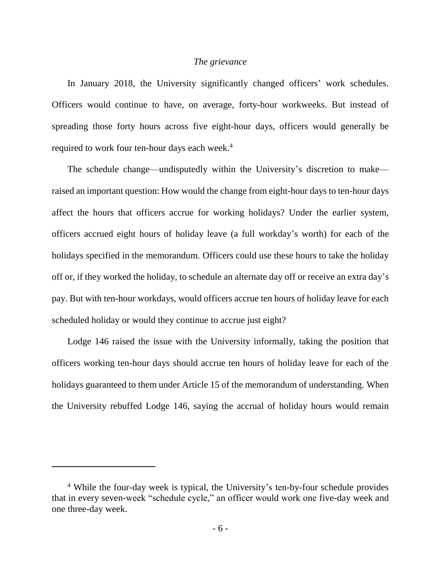#### *The grievance*

In January 2018, the University significantly changed officers' work schedules. Officers would continue to have, on average, forty-hour workweeks. But instead of spreading those forty hours across five eight-hour days, officers would generally be required to work four ten-hour days each week. 4

The schedule change—undisputedly within the University's discretion to make raised an important question: How would the change from eight-hour days to ten-hour days affect the hours that officers accrue for working holidays? Under the earlier system, officers accrued eight hours of holiday leave (a full workday's worth) for each of the holidays specified in the memorandum. Officers could use these hours to take the holiday off or, if they worked the holiday, to schedule an alternate day off or receive an extra day's pay. But with ten-hour workdays, would officers accrue ten hours of holiday leave for each scheduled holiday or would they continue to accrue just eight?

Lodge 146 raised the issue with the University informally, taking the position that officers working ten-hour days should accrue ten hours of holiday leave for each of the holidays guaranteed to them under Article 15 of the memorandum of understanding. When the University rebuffed Lodge 146, saying the accrual of holiday hours would remain

 $\overline{a}$ 

<sup>4</sup> While the four-day week is typical, the University's ten-by-four schedule provides that in every seven-week "schedule cycle," an officer would work one five-day week and one three-day week.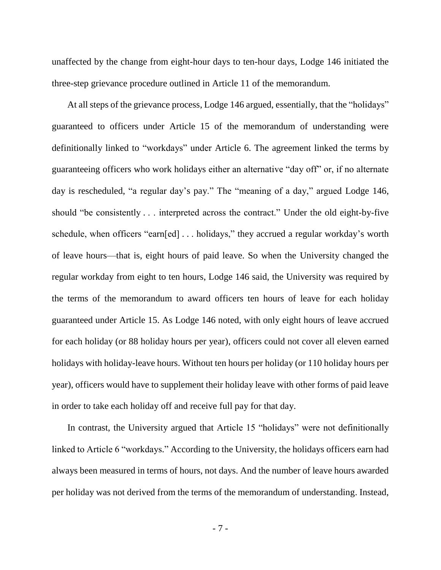unaffected by the change from eight-hour days to ten-hour days, Lodge 146 initiated the three-step grievance procedure outlined in Article 11 of the memorandum.

At all steps of the grievance process, Lodge 146 argued, essentially, that the "holidays" guaranteed to officers under Article 15 of the memorandum of understanding were definitionally linked to "workdays" under Article 6. The agreement linked the terms by guaranteeing officers who work holidays either an alternative "day off" or, if no alternate day is rescheduled, "a regular day's pay." The "meaning of a day," argued Lodge 146, should "be consistently . . . interpreted across the contract." Under the old eight-by-five schedule, when officers "earn[ed] . . . holidays," they accrued a regular workday's worth of leave hours—that is, eight hours of paid leave. So when the University changed the regular workday from eight to ten hours, Lodge 146 said, the University was required by the terms of the memorandum to award officers ten hours of leave for each holiday guaranteed under Article 15. As Lodge 146 noted, with only eight hours of leave accrued for each holiday (or 88 holiday hours per year), officers could not cover all eleven earned holidays with holiday-leave hours. Without ten hours per holiday (or 110 holiday hours per year), officers would have to supplement their holiday leave with other forms of paid leave in order to take each holiday off and receive full pay for that day.

In contrast, the University argued that Article 15 "holidays" were not definitionally linked to Article 6 "workdays." According to the University, the holidays officers earn had always been measured in terms of hours, not days. And the number of leave hours awarded per holiday was not derived from the terms of the memorandum of understanding. Instead,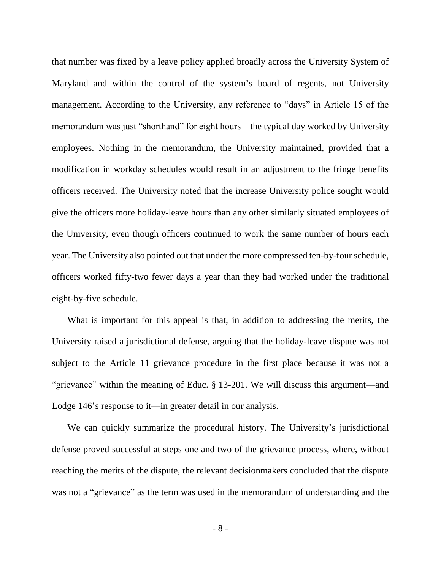that number was fixed by a leave policy applied broadly across the University System of Maryland and within the control of the system's board of regents, not University management. According to the University, any reference to "days" in Article 15 of the memorandum was just "shorthand" for eight hours—the typical day worked by University employees. Nothing in the memorandum, the University maintained, provided that a modification in workday schedules would result in an adjustment to the fringe benefits officers received. The University noted that the increase University police sought would give the officers more holiday-leave hours than any other similarly situated employees of the University, even though officers continued to work the same number of hours each year. The University also pointed out that under the more compressed ten-by-four schedule, officers worked fifty-two fewer days a year than they had worked under the traditional eight-by-five schedule.

What is important for this appeal is that, in addition to addressing the merits, the University raised a jurisdictional defense, arguing that the holiday-leave dispute was not subject to the Article 11 grievance procedure in the first place because it was not a "grievance" within the meaning of Educ. § 13-201. We will discuss this argument—and Lodge 146's response to it—in greater detail in our analysis.

We can quickly summarize the procedural history. The University's jurisdictional defense proved successful at steps one and two of the grievance process, where, without reaching the merits of the dispute, the relevant decisionmakers concluded that the dispute was not a "grievance" as the term was used in the memorandum of understanding and the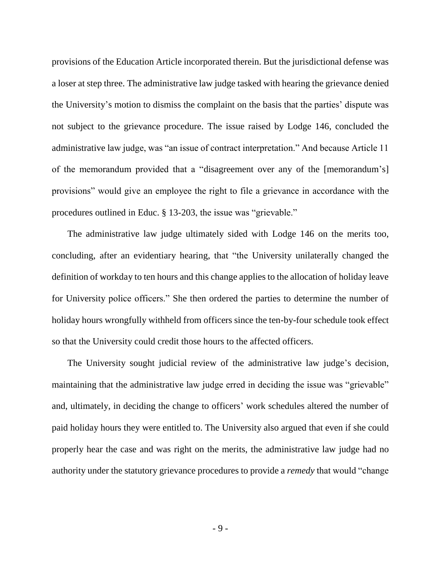provisions of the Education Article incorporated therein. But the jurisdictional defense was a loser at step three. The administrative law judge tasked with hearing the grievance denied the University's motion to dismiss the complaint on the basis that the parties' dispute was not subject to the grievance procedure. The issue raised by Lodge 146, concluded the administrative law judge, was "an issue of contract interpretation." And because Article 11 of the memorandum provided that a "disagreement over any of the [memorandum's] provisions" would give an employee the right to file a grievance in accordance with the procedures outlined in Educ. § 13-203, the issue was "grievable."

The administrative law judge ultimately sided with Lodge 146 on the merits too, concluding, after an evidentiary hearing, that "the University unilaterally changed the definition of workday to ten hours and this change applies to the allocation of holiday leave for University police officers." She then ordered the parties to determine the number of holiday hours wrongfully withheld from officers since the ten-by-four schedule took effect so that the University could credit those hours to the affected officers.

The University sought judicial review of the administrative law judge's decision, maintaining that the administrative law judge erred in deciding the issue was "grievable" and, ultimately, in deciding the change to officers' work schedules altered the number of paid holiday hours they were entitled to. The University also argued that even if she could properly hear the case and was right on the merits, the administrative law judge had no authority under the statutory grievance procedures to provide a *remedy* that would "change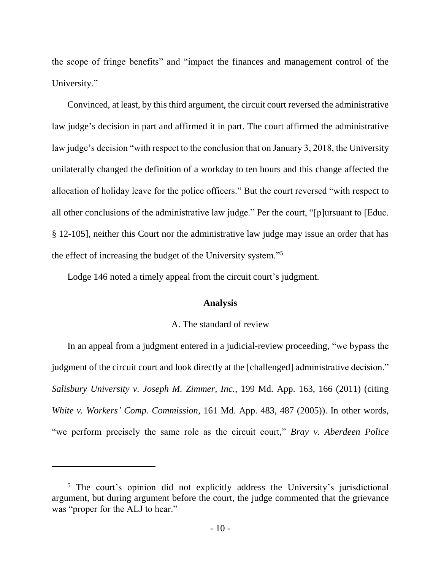the scope of fringe benefits" and "impact the finances and management control of the University."

Convinced, at least, by this third argument, the circuit court reversed the administrative law judge's decision in part and affirmed it in part. The court affirmed the administrative law judge's decision "with respect to the conclusion that on January 3, 2018, the University unilaterally changed the definition of a workday to ten hours and this change affected the allocation of holiday leave for the police officers." But the court reversed "with respect to all other conclusions of the administrative law judge." Per the court, "[p]ursuant to [Educ. § 12-105], neither this Court nor the administrative law judge may issue an order that has the effect of increasing the budget of the University system."<sup>5</sup>

Lodge 146 noted a timely appeal from the circuit court's judgment.

#### **Analysis**

## A. The standard of review

In an appeal from a judgment entered in a judicial-review proceeding, "we bypass the judgment of the circuit court and look directly at the [challenged] administrative decision." *Salisbury University v. Joseph M. Zimmer, Inc.*, 199 Md. App. 163, 166 (2011) (citing *White v. Workers' Comp. Commission*, 161 Md. App. 483, 487 (2005)). In other words, "we perform precisely the same role as the circuit court," *Bray v. Aberdeen Police* 

 $\overline{a}$ 

<sup>&</sup>lt;sup>5</sup> The court's opinion did not explicitly address the University's jurisdictional argument, but during argument before the court, the judge commented that the grievance was "proper for the ALJ to hear."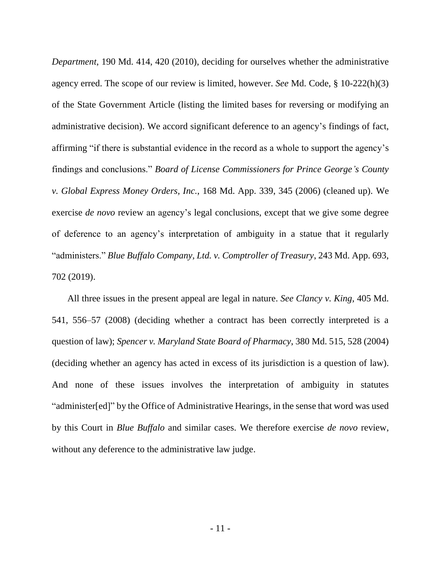*Department*, 190 Md. 414, 420 (2010), deciding for ourselves whether the administrative agency erred. The scope of our review is limited, however. *See* Md. Code, § 10-222(h)(3) of the State Government Article (listing the limited bases for reversing or modifying an administrative decision). We accord significant deference to an agency's findings of fact, affirming "if there is substantial evidence in the record as a whole to support the agency's findings and conclusions." *Board of License Commissioners for Prince George's County v. Global Express Money Orders, Inc.*, 168 Md. App. 339, 345 (2006) (cleaned up). We exercise *de novo* review an agency's legal conclusions, except that we give some degree of deference to an agency's interpretation of ambiguity in a statue that it regularly "administers." *Blue Buffalo Company, Ltd. v. Comptroller of Treasury*, 243 Md. App. 693, 702 (2019).

All three issues in the present appeal are legal in nature. *See Clancy v. King*, 405 Md. 541, 556–57 (2008) (deciding whether a contract has been correctly interpreted is a question of law); *Spencer v. Maryland State Board of Pharmacy*, 380 Md. 515, 528 (2004) (deciding whether an agency has acted in excess of its jurisdiction is a question of law). And none of these issues involves the interpretation of ambiguity in statutes "administer[ed]" by the Office of Administrative Hearings, in the sense that word was used by this Court in *Blue Buffalo* and similar cases. We therefore exercise *de novo* review, without any deference to the administrative law judge.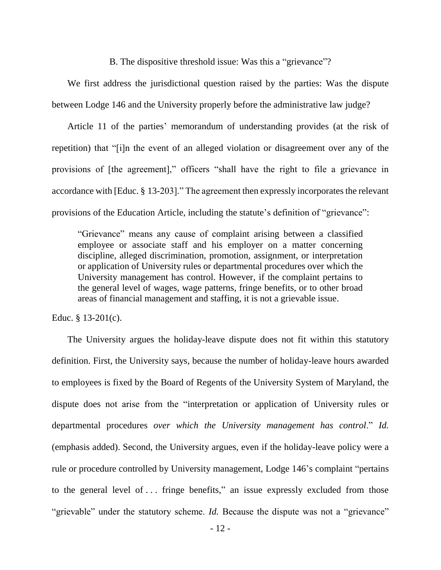B. The dispositive threshold issue: Was this a "grievance"?

We first address the jurisdictional question raised by the parties: Was the dispute between Lodge 146 and the University properly before the administrative law judge?

Article 11 of the parties' memorandum of understanding provides (at the risk of repetition) that "[i]n the event of an alleged violation or disagreement over any of the provisions of [the agreement]," officers "shall have the right to file a grievance in accordance with [Educ. § 13-203]." The agreement then expressly incorporates the relevant provisions of the Education Article, including the statute's definition of "grievance":

"Grievance" means any cause of complaint arising between a classified employee or associate staff and his employer on a matter concerning discipline, alleged discrimination, promotion, assignment, or interpretation or application of University rules or departmental procedures over which the University management has control. However, if the complaint pertains to the general level of wages, wage patterns, fringe benefits, or to other broad areas of financial management and staffing, it is not a grievable issue.

Educ.  $§$  13-201(c).

The University argues the holiday-leave dispute does not fit within this statutory definition. First, the University says, because the number of holiday-leave hours awarded to employees is fixed by the Board of Regents of the University System of Maryland, the dispute does not arise from the "interpretation or application of University rules or departmental procedures *over which the University management has control*." *Id.* (emphasis added). Second, the University argues, even if the holiday-leave policy were a rule or procedure controlled by University management, Lodge 146's complaint "pertains to the general level of . . . fringe benefits," an issue expressly excluded from those "grievable" under the statutory scheme. *Id.* Because the dispute was not a "grievance"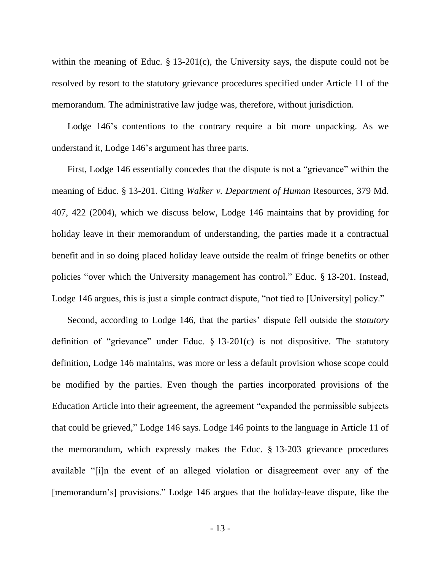within the meaning of Educ. § 13-201(c), the University says, the dispute could not be resolved by resort to the statutory grievance procedures specified under Article 11 of the memorandum. The administrative law judge was, therefore, without jurisdiction.

Lodge 146's contentions to the contrary require a bit more unpacking. As we understand it, Lodge 146's argument has three parts.

First, Lodge 146 essentially concedes that the dispute is not a "grievance" within the meaning of Educ. § 13-201. Citing *Walker v. Department of Human* Resources, 379 Md. 407, 422 (2004), which we discuss below, Lodge 146 maintains that by providing for holiday leave in their memorandum of understanding, the parties made it a contractual benefit and in so doing placed holiday leave outside the realm of fringe benefits or other policies "over which the University management has control." Educ. § 13-201. Instead, Lodge 146 argues, this is just a simple contract dispute, "not tied to [University] policy."

Second, according to Lodge 146, that the parties' dispute fell outside the *statutory* definition of "grievance" under Educ.  $\S$  13-201(c) is not dispositive. The statutory definition, Lodge 146 maintains, was more or less a default provision whose scope could be modified by the parties. Even though the parties incorporated provisions of the Education Article into their agreement, the agreement "expanded the permissible subjects that could be grieved," Lodge 146 says. Lodge 146 points to the language in Article 11 of the memorandum, which expressly makes the Educ. § 13-203 grievance procedures available "[i]n the event of an alleged violation or disagreement over any of the [memorandum's] provisions." Lodge 146 argues that the holiday-leave dispute, like the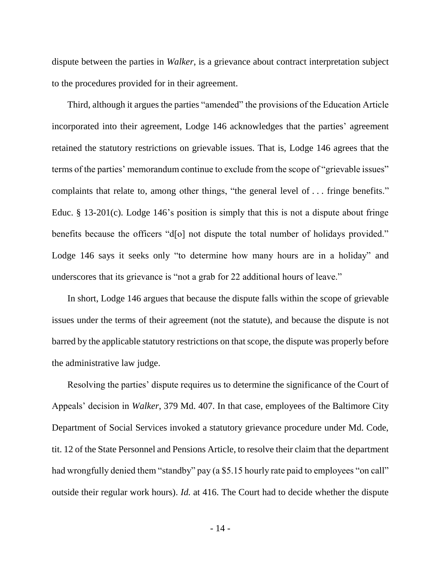dispute between the parties in *Walker*, is a grievance about contract interpretation subject to the procedures provided for in their agreement.

Third, although it argues the parties "amended" the provisions of the Education Article incorporated into their agreement, Lodge 146 acknowledges that the parties' agreement retained the statutory restrictions on grievable issues. That is, Lodge 146 agrees that the terms of the parties' memorandum continue to exclude from the scope of "grievable issues" complaints that relate to, among other things, "the general level of . . . fringe benefits." Educ. § 13-201(c). Lodge 146's position is simply that this is not a dispute about fringe benefits because the officers "d[o] not dispute the total number of holidays provided." Lodge 146 says it seeks only "to determine how many hours are in a holiday" and underscores that its grievance is "not a grab for 22 additional hours of leave."

In short, Lodge 146 argues that because the dispute falls within the scope of grievable issues under the terms of their agreement (not the statute), and because the dispute is not barred by the applicable statutory restrictions on that scope, the dispute was properly before the administrative law judge.

Resolving the parties' dispute requires us to determine the significance of the Court of Appeals' decision in *Walker*, 379 Md. 407. In that case, employees of the Baltimore City Department of Social Services invoked a statutory grievance procedure under Md. Code, tit. 12 of the State Personnel and Pensions Article, to resolve their claim that the department had wrongfully denied them "standby" pay (a \$5.15 hourly rate paid to employees "on call" outside their regular work hours). *Id.* at 416. The Court had to decide whether the dispute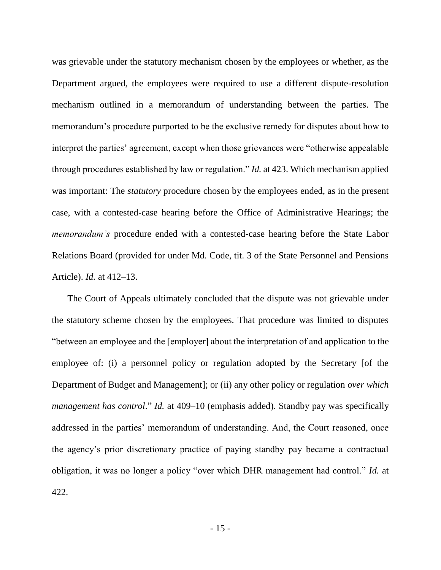was grievable under the statutory mechanism chosen by the employees or whether, as the Department argued, the employees were required to use a different dispute-resolution mechanism outlined in a memorandum of understanding between the parties. The memorandum's procedure purported to be the exclusive remedy for disputes about how to interpret the parties' agreement, except when those grievances were "otherwise appealable through procedures established by law or regulation." *Id.* at 423. Which mechanism applied was important: The *statutory* procedure chosen by the employees ended, as in the present case, with a contested-case hearing before the Office of Administrative Hearings; the *memorandum's* procedure ended with a contested-case hearing before the State Labor Relations Board (provided for under Md. Code, tit. 3 of the State Personnel and Pensions Article). *Id.* at 412–13.

The Court of Appeals ultimately concluded that the dispute was not grievable under the statutory scheme chosen by the employees. That procedure was limited to disputes "between an employee and the [employer] about the interpretation of and application to the employee of: (i) a personnel policy or regulation adopted by the Secretary [of the Department of Budget and Management]; or (ii) any other policy or regulation *over which management has control*." *Id.* at 409–10 (emphasis added). Standby pay was specifically addressed in the parties' memorandum of understanding. And, the Court reasoned, once the agency's prior discretionary practice of paying standby pay became a contractual obligation, it was no longer a policy "over which DHR management had control." *Id.* at 422.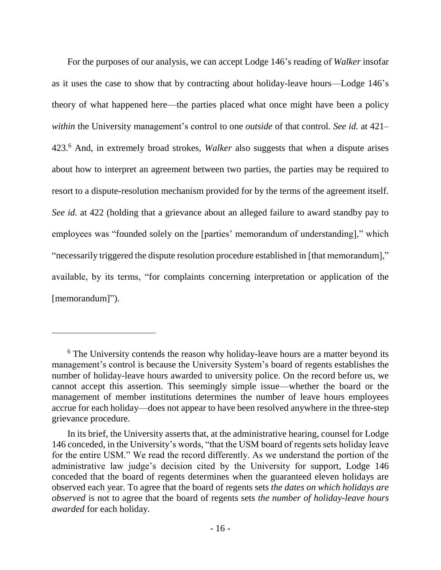For the purposes of our analysis, we can accept Lodge 146's reading of *Walker* insofar as it uses the case to show that by contracting about holiday-leave hours—Lodge 146's theory of what happened here—the parties placed what once might have been a policy *within* the University management's control to one *outside* of that control. *See id.* at 421– 423.<sup>6</sup> And, in extremely broad strokes, *Walker* also suggests that when a dispute arises about how to interpret an agreement between two parties, the parties may be required to resort to a dispute-resolution mechanism provided for by the terms of the agreement itself. *See id.* at 422 (holding that a grievance about an alleged failure to award standby pay to employees was "founded solely on the [parties' memorandum of understanding]," which "necessarily triggered the dispute resolution procedure established in [that memorandum]," available, by its terms, "for complaints concerning interpretation or application of the [memorandum]").

 $\overline{a}$ 

<sup>&</sup>lt;sup>6</sup> The University contends the reason why holiday-leave hours are a matter beyond its management's control is because the University System's board of regents establishes the number of holiday-leave hours awarded to university police. On the record before us, we cannot accept this assertion. This seemingly simple issue—whether the board or the management of member institutions determines the number of leave hours employees accrue for each holiday—does not appear to have been resolved anywhere in the three-step grievance procedure.

In its brief, the University asserts that, at the administrative hearing, counsel for Lodge 146 conceded, in the University's words, "that the USM board of regents sets holiday leave for the entire USM." We read the record differently. As we understand the portion of the administrative law judge's decision cited by the University for support, Lodge 146 conceded that the board of regents determines when the guaranteed eleven holidays are observed each year. To agree that the board of regents sets *the dates on which holidays are observed* is not to agree that the board of regents sets *the number of holiday-leave hours awarded* for each holiday.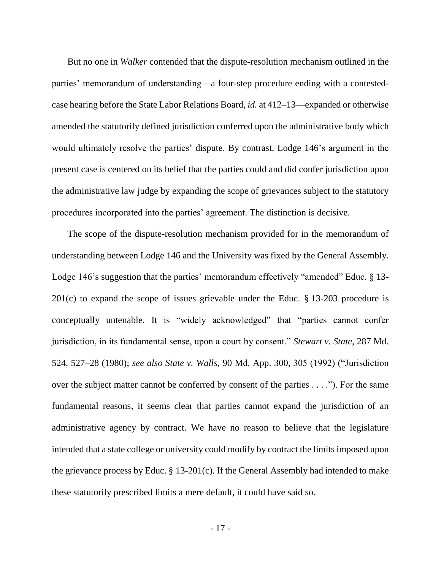But no one in *Walker* contended that the dispute-resolution mechanism outlined in the parties' memorandum of understanding—a four-step procedure ending with a contestedcase hearing before the State Labor Relations Board, *id.* at 412–13—expanded or otherwise amended the statutorily defined jurisdiction conferred upon the administrative body which would ultimately resolve the parties' dispute. By contrast, Lodge 146's argument in the present case is centered on its belief that the parties could and did confer jurisdiction upon the administrative law judge by expanding the scope of grievances subject to the statutory procedures incorporated into the parties' agreement. The distinction is decisive.

The scope of the dispute-resolution mechanism provided for in the memorandum of understanding between Lodge 146 and the University was fixed by the General Assembly. Lodge 146's suggestion that the parties' memorandum effectively "amended" Educ. § 13-201(c) to expand the scope of issues grievable under the Educ. § 13-203 procedure is conceptually untenable. It is "widely acknowledged" that "parties cannot confer jurisdiction, in its fundamental sense, upon a court by consent." *Stewart v. State*, 287 Md. 524, 527–28 (1980); *see also State v. Walls*, 90 Md. App. 300, 305 (1992) ("Jurisdiction over the subject matter cannot be conferred by consent of the parties . . . ."). For the same fundamental reasons, it seems clear that parties cannot expand the jurisdiction of an administrative agency by contract. We have no reason to believe that the legislature intended that a state college or university could modify by contract the limits imposed upon the grievance process by Educ. § 13-201(c). If the General Assembly had intended to make these statutorily prescribed limits a mere default, it could have said so.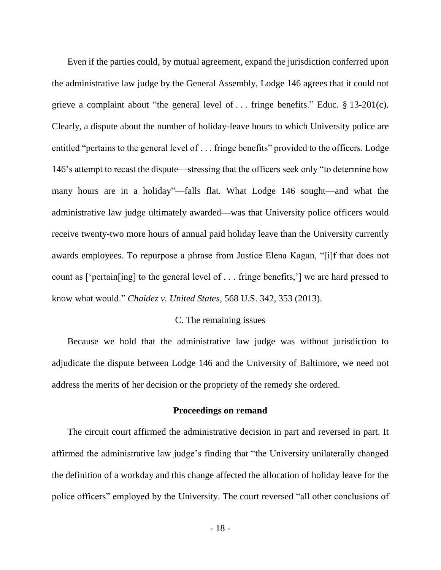Even if the parties could, by mutual agreement, expand the jurisdiction conferred upon the administrative law judge by the General Assembly, Lodge 146 agrees that it could not grieve a complaint about "the general level of . . . fringe benefits." Educ. § 13-201(c). Clearly, a dispute about the number of holiday-leave hours to which University police are entitled "pertains to the general level of . . . fringe benefits" provided to the officers. Lodge 146's attempt to recast the dispute—stressing that the officers seek only "to determine how many hours are in a holiday"—falls flat. What Lodge 146 sought—and what the administrative law judge ultimately awarded—was that University police officers would receive twenty-two more hours of annual paid holiday leave than the University currently awards employees. To repurpose a phrase from Justice Elena Kagan, "[i]f that does not count as ['pertain[ing] to the general level of . . . fringe benefits,'] we are hard pressed to know what would." *Chaidez v. United States*, 568 U.S. 342, 353 (2013).

### C. The remaining issues

Because we hold that the administrative law judge was without jurisdiction to adjudicate the dispute between Lodge 146 and the University of Baltimore, we need not address the merits of her decision or the propriety of the remedy she ordered.

#### **Proceedings on remand**

The circuit court affirmed the administrative decision in part and reversed in part. It affirmed the administrative law judge's finding that "the University unilaterally changed the definition of a workday and this change affected the allocation of holiday leave for the police officers" employed by the University. The court reversed "all other conclusions of